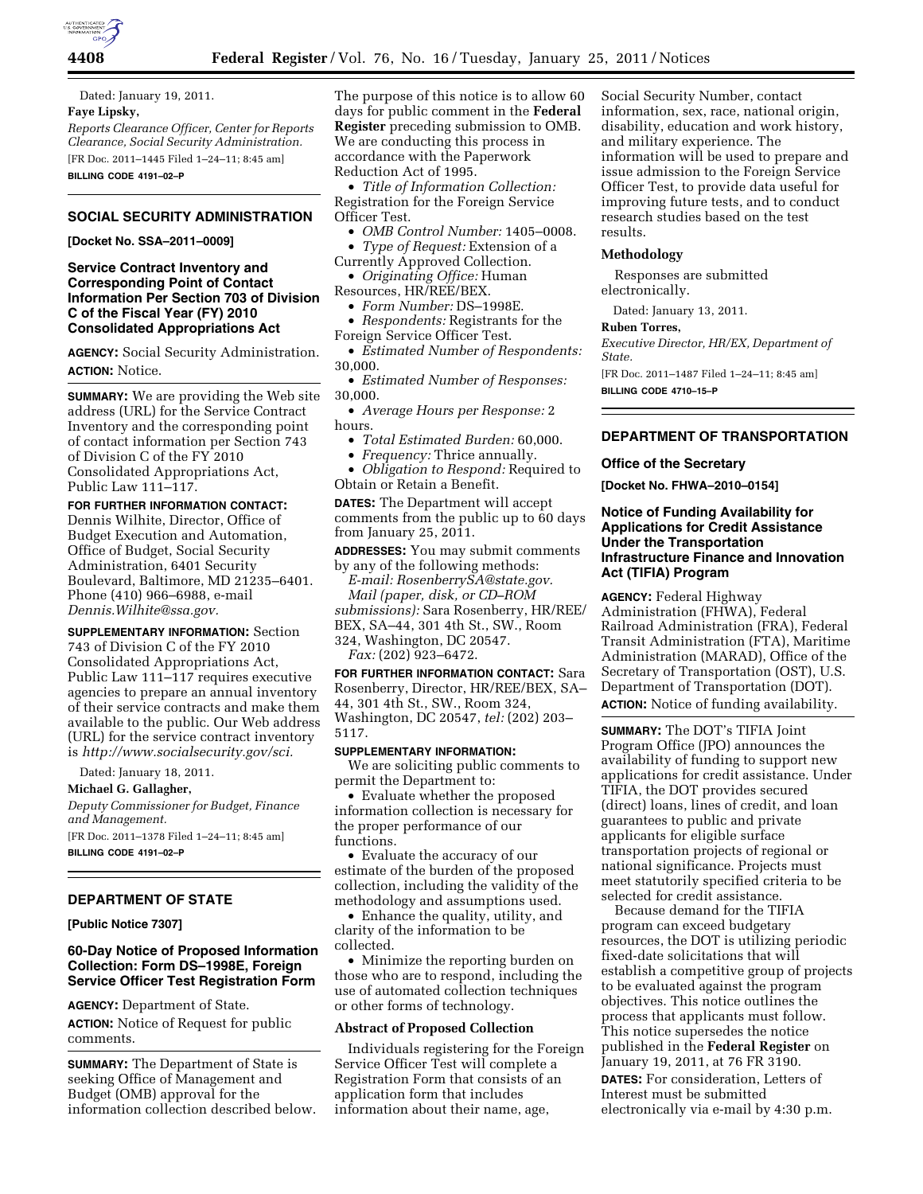

Dated: January 19, 2011. **Faye Lipsky,**  *Reports Clearance Officer, Center for Reports Clearance, Social Security Administration.*  [FR Doc. 2011–1445 Filed 1–24–11; 8:45 am] **BILLING CODE 4191–02–P** 

# **SOCIAL SECURITY ADMINISTRATION**

**[Docket No. SSA–2011–0009]** 

## **Service Contract Inventory and Corresponding Point of Contact Information Per Section 703 of Division C of the Fiscal Year (FY) 2010 Consolidated Appropriations Act**

**AGENCY:** Social Security Administration. **ACTION:** Notice.

**SUMMARY:** We are providing the Web site address (URL) for the Service Contract Inventory and the corresponding point of contact information per Section 743 of Division C of the FY 2010 Consolidated Appropriations Act, Public Law 111–117.

**FOR FURTHER INFORMATION CONTACT:**  Dennis Wilhite, Director, Office of Budget Execution and Automation, Office of Budget, Social Security Administration, 6401 Security Boulevard, Baltimore, MD 21235–6401. Phone (410) 966–6988, e-mail *[Dennis.Wilhite@ssa.gov.](mailto:Dennis.Wilhite@ssa.gov)* 

**SUPPLEMENTARY INFORMATION:** Section 743 of Division C of the FY 2010 Consolidated Appropriations Act, Public Law 111–117 requires executive agencies to prepare an annual inventory of their service contracts and make them available to the public. Our Web address (URL) for the service contract inventory is *[http://www.socialsecurity.gov/sci.](http://www.socialsecurity.gov/sci)* 

Dated: January 18, 2011.

**Michael G. Gallagher,** 

*Deputy Commissioner for Budget, Finance and Management.* 

[FR Doc. 2011–1378 Filed 1–24–11; 8:45 am] **BILLING CODE 4191–02–P** 

# **DEPARTMENT OF STATE**

**[Public Notice 7307]** 

# **60-Day Notice of Proposed Information Collection: Form DS–1998E, Foreign Service Officer Test Registration Form**

**AGENCY:** Department of State.

**ACTION:** Notice of Request for public comments.

**SUMMARY:** The Department of State is seeking Office of Management and Budget (OMB) approval for the information collection described below. The purpose of this notice is to allow 60 days for public comment in the **Federal Register** preceding submission to OMB. We are conducting this process in accordance with the Paperwork Reduction Act of 1995.

• *Title of Information Collection:*  Registration for the Foreign Service Officer Test.

• *OMB Control Number:* 1405–0008. • *Type of Request:* Extension of a

Currently Approved Collection. • *Originating Office:* Human

Resources, HR/REE/BEX.

• *Form Number:* DS–1998E.

• *Respondents:* Registrants for the Foreign Service Officer Test.

• *Estimated Number of Respondents:*  30,000.

• *Estimated Number of Responses:*  30,000.

• *Average Hours per Response:* 2 hours.

- *Total Estimated Burden:* 60,000.
- *Frequency:* Thrice annually.

• *Obligation to Respond:* Required to Obtain or Retain a Benefit.

**DATES:** The Department will accept comments from the public up to 60 days from January 25, 2011.

**ADDRESSES:** You may submit comments by any of the following methods:

*E-mail: [RosenberrySA@state.gov.](mailto:RosenberrySA@state.gov) Mail (paper, disk, or CD–ROM submissions):* Sara Rosenberry, HR/REE/ BEX, SA–44, 301 4th St., SW., Room 324, Washington, DC 20547. *Fax:* (202) 923–6472.

**FOR FURTHER INFORMATION CONTACT:** Sara Rosenberry, Director, HR/REE/BEX, SA– 44, 301 4th St., SW., Room 324, Washington, DC 20547, *tel:* (202) 203– 5117.

## **SUPPLEMENTARY INFORMATION:**

We are soliciting public comments to permit the Department to:

• Evaluate whether the proposed information collection is necessary for the proper performance of our functions.

• Evaluate the accuracy of our estimate of the burden of the proposed collection, including the validity of the methodology and assumptions used.

• Enhance the quality, utility, and clarity of the information to be collected.

• Minimize the reporting burden on those who are to respond, including the use of automated collection techniques or other forms of technology.

## **Abstract of Proposed Collection**

Individuals registering for the Foreign Service Officer Test will complete a Registration Form that consists of an application form that includes information about their name, age,

Social Security Number, contact information, sex, race, national origin, disability, education and work history, and military experience. The information will be used to prepare and issue admission to the Foreign Service Officer Test, to provide data useful for improving future tests, and to conduct research studies based on the test results.

## **Methodology**

Responses are submitted electronically.

Dated: January 13, 2011.

### **Ruben Torres,**

*Executive Director, HR/EX, Department of State.*  [FR Doc. 2011–1487 Filed 1–24–11; 8:45 am] **BILLING CODE 4710–15–P** 

### **DEPARTMENT OF TRANSPORTATION**

### **Office of the Secretary**

**[Docket No. FHWA–2010–0154]** 

## **Notice of Funding Availability for Applications for Credit Assistance Under the Transportation Infrastructure Finance and Innovation Act (TIFIA) Program**

**AGENCY:** Federal Highway Administration (FHWA), Federal Railroad Administration (FRA), Federal Transit Administration (FTA), Maritime Administration (MARAD), Office of the Secretary of Transportation (OST), U.S. Department of Transportation (DOT). **ACTION:** Notice of funding availability.

**SUMMARY:** The DOT's TIFIA Joint Program Office (JPO) announces the availability of funding to support new applications for credit assistance. Under TIFIA, the DOT provides secured (direct) loans, lines of credit, and loan guarantees to public and private applicants for eligible surface transportation projects of regional or national significance. Projects must meet statutorily specified criteria to be selected for credit assistance.

Because demand for the TIFIA program can exceed budgetary resources, the DOT is utilizing periodic fixed-date solicitations that will establish a competitive group of projects to be evaluated against the program objectives. This notice outlines the process that applicants must follow. This notice supersedes the notice published in the **Federal Register** on January 19, 2011, at 76 FR 3190.

**DATES:** For consideration, Letters of Interest must be submitted electronically via e-mail by 4:30 p.m.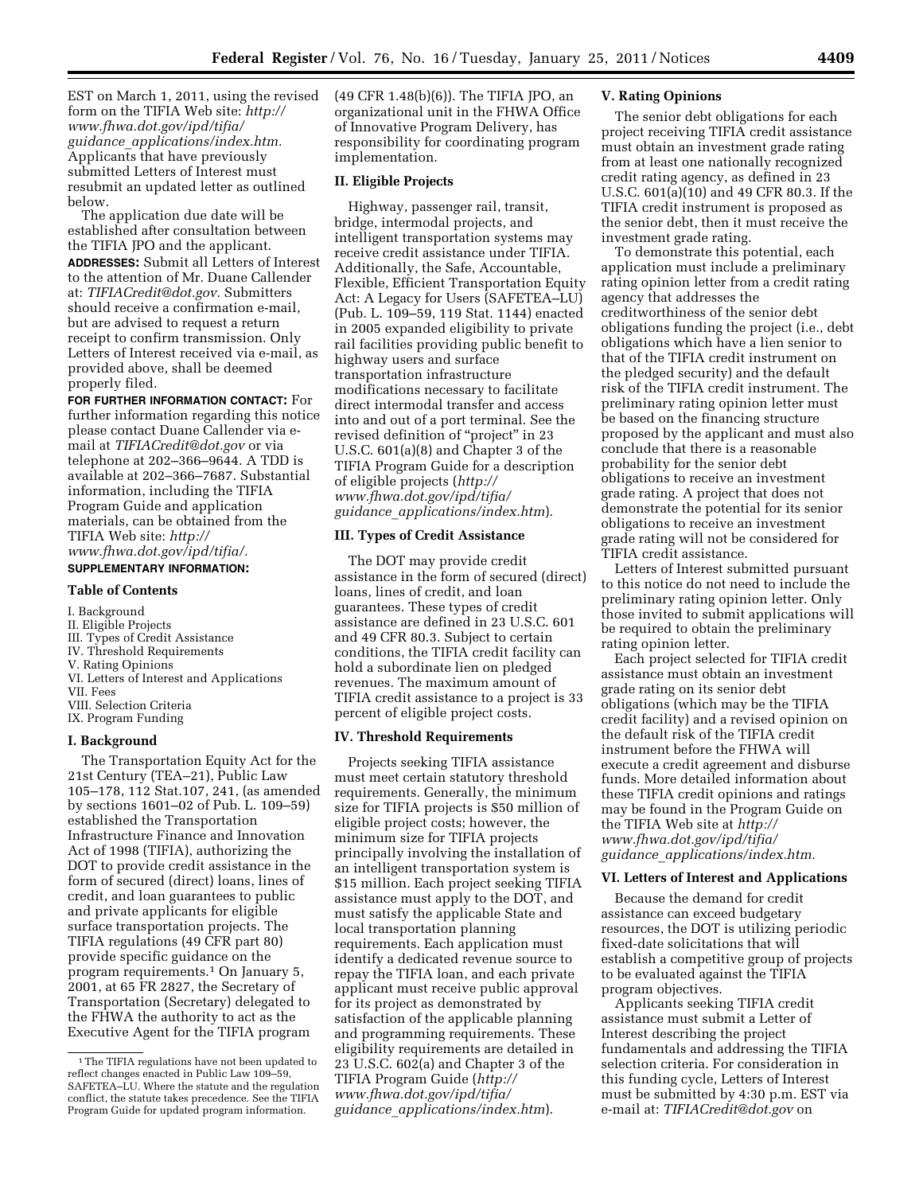EST on March 1, 2011, using the revised form on the TIFIA Web site: *[http://](http://www.fhwa.dot.gov/ipd/tifia/guidance_applications/index.htm) [www.fhwa.dot.gov/ipd/tifia/](http://www.fhwa.dot.gov/ipd/tifia/guidance_applications/index.htm) guidance*\_*[applications/index.htm.](http://www.fhwa.dot.gov/ipd/tifia/guidance_applications/index.htm)*  Applicants that have previously submitted Letters of Interest must resubmit an updated letter as outlined below.

The application due date will be established after consultation between the TIFIA JPO and the applicant. **ADDRESSES:** Submit all Letters of Interest to the attention of Mr. Duane Callender at: *[TIFIACredit@dot.gov.](mailto:TIFIACredit@dot.gov)* Submitters should receive a confirmation e-mail, but are advised to request a return receipt to confirm transmission. Only Letters of Interest received via e-mail, as provided above, shall be deemed properly filed.

**FOR FURTHER INFORMATION CONTACT:** For further information regarding this notice please contact Duane Callender via email at *[TIFIACredit@dot.gov](mailto:TIFIACredit@dot.gov)* or via telephone at 202–366–9644. A TDD is available at 202–366–7687. Substantial information, including the TIFIA Program Guide and application materials, can be obtained from the TIFIA Web site: *[http://](http://www.fhwa.dot.gov/ipd/tifia/)  [www.fhwa.dot.gov/ipd/tifia/.](http://www.fhwa.dot.gov/ipd/tifia/)* 

#### **SUPPLEMENTARY INFORMATION:**

### **Table of Contents**

### I. Background

- II. Eligible Projects
- III. Types of Credit Assistance
- IV. Threshold Requirements
- V. Rating Opinions
- VI. Letters of Interest and Applications
- VII. Fees
- VIII. Selection Criteria
- IX. Program Funding

# **I. Background**

The Transportation Equity Act for the 21st Century (TEA–21), Public Law 105–178, 112 Stat.107, 241, (as amended by sections 1601–02 of Pub. L. 109–59) established the Transportation Infrastructure Finance and Innovation Act of 1998 (TIFIA), authorizing the DOT to provide credit assistance in the form of secured (direct) loans, lines of credit, and loan guarantees to public and private applicants for eligible surface transportation projects. The TIFIA regulations (49 CFR part 80) provide specific guidance on the program requirements.<sup>1</sup> On January 5, 2001, at 65 FR 2827, the Secretary of Transportation (Secretary) delegated to the FHWA the authority to act as the Executive Agent for the TIFIA program

(49 CFR 1.48(b)(6)). The TIFIA JPO, an organizational unit in the FHWA Office of Innovative Program Delivery, has responsibility for coordinating program implementation.

# **II. Eligible Projects**

Highway, passenger rail, transit, bridge, intermodal projects, and intelligent transportation systems may receive credit assistance under TIFIA. Additionally, the Safe, Accountable, Flexible, Efficient Transportation Equity Act: A Legacy for Users (SAFETEA–LU) (Pub. L. 109–59, 119 Stat. 1144) enacted in 2005 expanded eligibility to private rail facilities providing public benefit to highway users and surface transportation infrastructure modifications necessary to facilitate direct intermodal transfer and access into and out of a port terminal. See the revised definition of ''project'' in 23 U.S.C. 601(a)(8) and Chapter 3 of the TIFIA Program Guide for a description of eligible projects (*[http://](http://www.fhwa.dot.gov/ipd/tifia/guidance_applications/index.htm)  [www.fhwa.dot.gov/ipd/tifia/](http://www.fhwa.dot.gov/ipd/tifia/guidance_applications/index.htm) guidance*\_*[applications/index.htm](http://www.fhwa.dot.gov/ipd/tifia/guidance_applications/index.htm)*).

# **III. Types of Credit Assistance**

The DOT may provide credit assistance in the form of secured (direct) loans, lines of credit, and loan guarantees. These types of credit assistance are defined in 23 U.S.C. 601 and 49 CFR 80.3. Subject to certain conditions, the TIFIA credit facility can hold a subordinate lien on pledged revenues. The maximum amount of TIFIA credit assistance to a project is 33 percent of eligible project costs.

## **IV. Threshold Requirements**

Projects seeking TIFIA assistance must meet certain statutory threshold requirements. Generally, the minimum size for TIFIA projects is \$50 million of eligible project costs; however, the minimum size for TIFIA projects principally involving the installation of an intelligent transportation system is \$15 million. Each project seeking TIFIA assistance must apply to the DOT, and must satisfy the applicable State and local transportation planning requirements. Each application must identify a dedicated revenue source to repay the TIFIA loan, and each private applicant must receive public approval for its project as demonstrated by satisfaction of the applicable planning and programming requirements. These eligibility requirements are detailed in 23 U.S.C. 602(a) and Chapter 3 of the TIFIA Program Guide (*[http://](http://www.fhwa.dot.gov/ipd/tifia/guidance_applications/index.htm)  [www.fhwa.dot.gov/ipd/tifia/](http://www.fhwa.dot.gov/ipd/tifia/guidance_applications/index.htm) guidance*\_*[applications/index.htm](http://www.fhwa.dot.gov/ipd/tifia/guidance_applications/index.htm)*).

### **V. Rating Opinions**

The senior debt obligations for each project receiving TIFIA credit assistance must obtain an investment grade rating from at least one nationally recognized credit rating agency, as defined in 23 U.S.C. 601(a)(10) and 49 CFR 80.3. If the TIFIA credit instrument is proposed as the senior debt, then it must receive the investment grade rating.

To demonstrate this potential, each application must include a preliminary rating opinion letter from a credit rating agency that addresses the creditworthiness of the senior debt obligations funding the project (i.e., debt obligations which have a lien senior to that of the TIFIA credit instrument on the pledged security) and the default risk of the TIFIA credit instrument. The preliminary rating opinion letter must be based on the financing structure proposed by the applicant and must also conclude that there is a reasonable probability for the senior debt obligations to receive an investment grade rating. A project that does not demonstrate the potential for its senior obligations to receive an investment grade rating will not be considered for TIFIA credit assistance.

Letters of Interest submitted pursuant to this notice do not need to include the preliminary rating opinion letter. Only those invited to submit applications will be required to obtain the preliminary rating opinion letter.

Each project selected for TIFIA credit assistance must obtain an investment grade rating on its senior debt obligations (which may be the TIFIA credit facility) and a revised opinion on the default risk of the TIFIA credit instrument before the FHWA will execute a credit agreement and disburse funds. More detailed information about these TIFIA credit opinions and ratings may be found in the Program Guide on the TIFIA Web site at *[http://](http://www.fhwa.dot.gov/ipd/tifia/guidance_applications/index.htm)  [www.fhwa.dot.gov/ipd/tifia/](http://www.fhwa.dot.gov/ipd/tifia/guidance_applications/index.htm) guidance*\_*[applications/index.htm.](http://www.fhwa.dot.gov/ipd/tifia/guidance_applications/index.htm)* 

#### **VI. Letters of Interest and Applications**

Because the demand for credit assistance can exceed budgetary resources, the DOT is utilizing periodic fixed-date solicitations that will establish a competitive group of projects to be evaluated against the TIFIA program objectives.

Applicants seeking TIFIA credit assistance must submit a Letter of Interest describing the project fundamentals and addressing the TIFIA selection criteria. For consideration in this funding cycle, Letters of Interest must be submitted by 4:30 p.m. EST via e-mail at: *[TIFIACredit@dot.gov](mailto:TIFIACredit@dot.gov)* on

<sup>1</sup>The TIFIA regulations have not been updated to reflect changes enacted in Public Law 109–59, SAFETEA–LU. Where the statute and the regulation conflict, the statute takes precedence. See the TIFIA Program Guide for updated program information.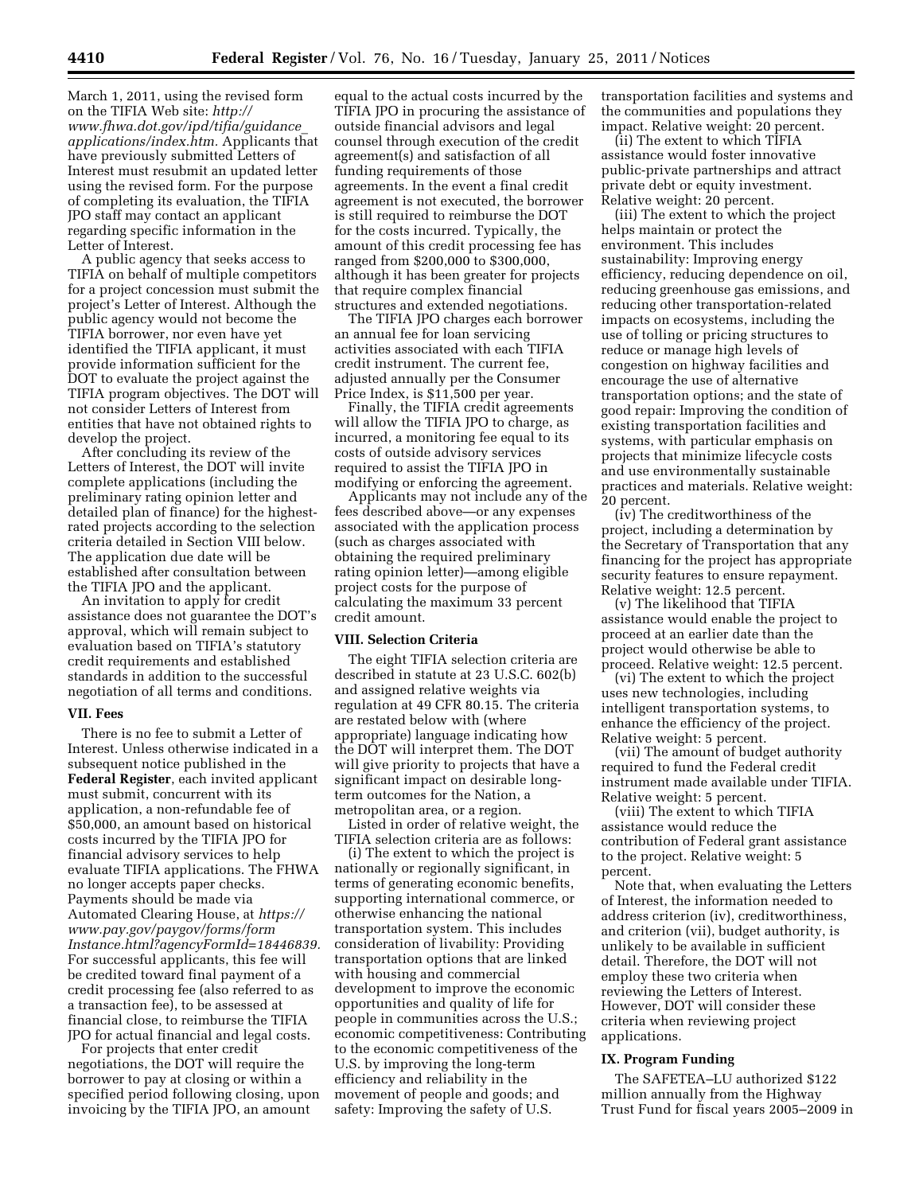March 1, 2011, using the revised form on the TIFIA Web site: *[http://](http://www.fhwa.dot.gov/ipd/tifia/guidance_applications/index.htm) [www.fhwa.dot.gov/ipd/tifia/guidance](http://www.fhwa.dot.gov/ipd/tifia/guidance_applications/index.htm)*\_ *[applications/index.htm.](http://www.fhwa.dot.gov/ipd/tifia/guidance_applications/index.htm)* Applicants that have previously submitted Letters of Interest must resubmit an updated letter using the revised form. For the purpose of completing its evaluation, the TIFIA JPO staff may contact an applicant regarding specific information in the Letter of Interest.

A public agency that seeks access to TIFIA on behalf of multiple competitors for a project concession must submit the project's Letter of Interest. Although the public agency would not become the TIFIA borrower, nor even have yet identified the TIFIA applicant, it must provide information sufficient for the DOT to evaluate the project against the TIFIA program objectives. The DOT will not consider Letters of Interest from entities that have not obtained rights to develop the project.

After concluding its review of the Letters of Interest, the DOT will invite complete applications (including the preliminary rating opinion letter and detailed plan of finance) for the highestrated projects according to the selection criteria detailed in Section VIII below. The application due date will be established after consultation between the TIFIA JPO and the applicant.

An invitation to apply for credit assistance does not guarantee the DOT's approval, which will remain subject to evaluation based on TIFIA's statutory credit requirements and established standards in addition to the successful negotiation of all terms and conditions.

#### **VII. Fees**

There is no fee to submit a Letter of Interest. Unless otherwise indicated in a subsequent notice published in the **Federal Register**, each invited applicant must submit, concurrent with its application, a non-refundable fee of \$50,000, an amount based on historical costs incurred by the TIFIA JPO for financial advisory services to help evaluate TIFIA applications. The FHWA no longer accepts paper checks. Payments should be made via Automated Clearing House, at *[https://](https://www.pay.gov/paygov/forms/formInstance.html?agencyFormId=18446839) [www.pay.gov/paygov/forms/form](https://www.pay.gov/paygov/forms/formInstance.html?agencyFormId=18446839) [Instance.html?agencyFormId=18446839.](https://www.pay.gov/paygov/forms/formInstance.html?agencyFormId=18446839)*  For successful applicants, this fee will be credited toward final payment of a credit processing fee (also referred to as a transaction fee), to be assessed at financial close, to reimburse the TIFIA JPO for actual financial and legal costs.

For projects that enter credit negotiations, the DOT will require the borrower to pay at closing or within a specified period following closing, upon invoicing by the TIFIA JPO, an amount

equal to the actual costs incurred by the TIFIA JPO in procuring the assistance of outside financial advisors and legal counsel through execution of the credit agreement(s) and satisfaction of all funding requirements of those agreements. In the event a final credit agreement is not executed, the borrower is still required to reimburse the DOT for the costs incurred. Typically, the amount of this credit processing fee has ranged from \$200,000 to \$300,000, although it has been greater for projects that require complex financial structures and extended negotiations.

The TIFIA JPO charges each borrower an annual fee for loan servicing activities associated with each TIFIA credit instrument. The current fee, adjusted annually per the Consumer Price Index, is \$11,500 per year.

Finally, the TIFIA credit agreements will allow the TIFIA JPO to charge, as incurred, a monitoring fee equal to its costs of outside advisory services required to assist the TIFIA JPO in modifying or enforcing the agreement.

Applicants may not include any of the fees described above—or any expenses associated with the application process (such as charges associated with obtaining the required preliminary rating opinion letter)—among eligible project costs for the purpose of calculating the maximum 33 percent credit amount.

#### **VIII. Selection Criteria**

The eight TIFIA selection criteria are described in statute at 23 U.S.C. 602(b) and assigned relative weights via regulation at 49 CFR 80.15. The criteria are restated below with (where appropriate) language indicating how the DOT will interpret them. The DOT will give priority to projects that have a significant impact on desirable longterm outcomes for the Nation, a metropolitan area, or a region.

Listed in order of relative weight, the TIFIA selection criteria are as follows:

(i) The extent to which the project is nationally or regionally significant, in terms of generating economic benefits, supporting international commerce, or otherwise enhancing the national transportation system. This includes consideration of livability: Providing transportation options that are linked with housing and commercial development to improve the economic opportunities and quality of life for people in communities across the U.S.; economic competitiveness: Contributing to the economic competitiveness of the U.S. by improving the long-term efficiency and reliability in the movement of people and goods; and safety: Improving the safety of U.S.

transportation facilities and systems and the communities and populations they impact. Relative weight: 20 percent.

(ii) The extent to which TIFIA assistance would foster innovative public-private partnerships and attract private debt or equity investment. Relative weight: 20 percent.

(iii) The extent to which the project helps maintain or protect the environment. This includes sustainability: Improving energy efficiency, reducing dependence on oil, reducing greenhouse gas emissions, and reducing other transportation-related impacts on ecosystems, including the use of tolling or pricing structures to reduce or manage high levels of congestion on highway facilities and encourage the use of alternative transportation options; and the state of good repair: Improving the condition of existing transportation facilities and systems, with particular emphasis on projects that minimize lifecycle costs and use environmentally sustainable practices and materials. Relative weight: 20 percent.

(iv) The creditworthiness of the project, including a determination by the Secretary of Transportation that any financing for the project has appropriate security features to ensure repayment. Relative weight: 12.5 percent.

(v) The likelihood that TIFIA assistance would enable the project to proceed at an earlier date than the project would otherwise be able to proceed. Relative weight: 12.5 percent.

(vi) The extent to which the project uses new technologies, including intelligent transportation systems, to enhance the efficiency of the project. Relative weight: 5 percent.

(vii) The amount of budget authority required to fund the Federal credit instrument made available under TIFIA. Relative weight: 5 percent.

(viii) The extent to which TIFIA assistance would reduce the contribution of Federal grant assistance to the project. Relative weight: 5 percent.

Note that, when evaluating the Letters of Interest, the information needed to address criterion (iv), creditworthiness, and criterion (vii), budget authority, is unlikely to be available in sufficient detail. Therefore, the DOT will not employ these two criteria when reviewing the Letters of Interest. However, DOT will consider these criteria when reviewing project applications.

## **IX. Program Funding**

The SAFETEA–LU authorized \$122 million annually from the Highway Trust Fund for fiscal years 2005–2009 in